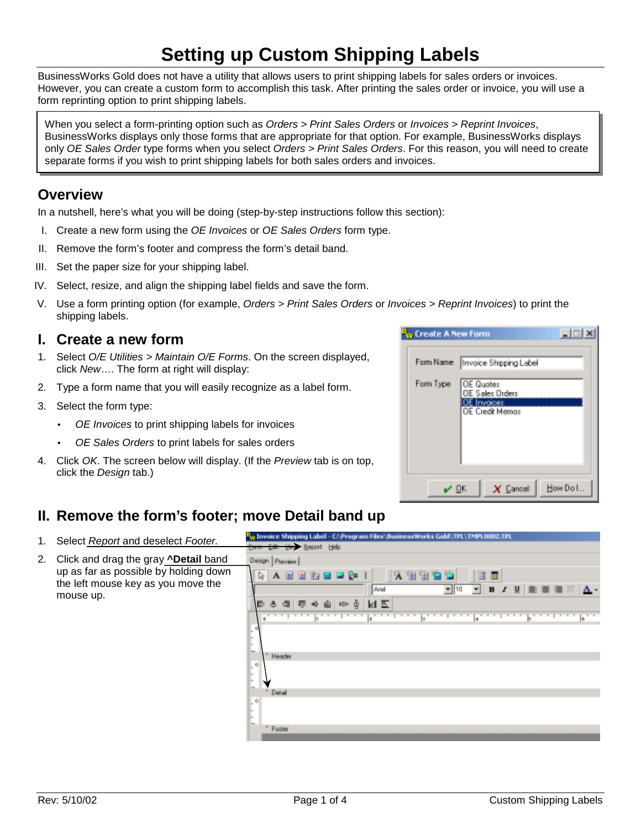# **Setting up Custom Shipping Labels**

BusinessWorks Gold does not have a utility that allows users to print shipping labels for sales orders or invoices. However, you can create a custom form to accomplish this task. After printing the sales order or invoice, you will use a form reprinting option to print shipping labels.

When you select a form-printing option such as *Orders > Print Sales Orders* or *Invoices > Reprint Invoices*, BusinessWorks displays only those forms that are appropriate for that option. For example, BusinessWorks displays only *OE Sales Order* type forms when you select *Orders > Print Sales Orders*. For this reason, you will need to create separate forms if you wish to print shipping labels for both sales orders and invoices.

## **Overview**

In a nutshell, here's what you will be doing (step-by-step instructions follow this section):

- I. Create a new form using the *OE Invoices* or *OE Sales Orders* form type.
- II. Remove the form's footer and compress the form's detail band.
- III. Set the paper size for your shipping label.
- IV. Select, resize, and align the shipping label fields and save the form.
- V. Use a form printing option (for example, *Orders > Print Sales Orders* or *Invoices > Reprint Invoices*) to print the shipping labels.

### **I. Create a new form**

- 1. Select *O/E Utilities > Maintain O/E Forms*. On the screen displayed, click *New*…. The form at right will display:
- 2. Type a form name that you will easily recognize as a label form.
- 3. Select the form type:
	- *OE Invoices* to print shipping labels for invoices
	- *OE Sales Orders* to print labels for sales orders
- 4. Click *OK*. The screen below will display. (If the *Preview* tab is on top, click the *Design* tab.)



## **II. Remove the form's footer; move Detail band up**

| 1. | Select Report and deselect Footer.                                                                                                           | Invoice Shipping Label - C:\Program Files\\BusinessWorks Gold\TPL\TMPL0002.TPL |  |  |  |
|----|----------------------------------------------------------------------------------------------------------------------------------------------|--------------------------------------------------------------------------------|--|--|--|
|    |                                                                                                                                              | Corm Edit View Report Help                                                     |  |  |  |
| 2. | Click and drag the gray <b>^Detail</b> band<br>up as far as possible by holding down<br>the left mouse key as you move the<br>mouse up.<br>þ | Design Preview                                                                 |  |  |  |
|    |                                                                                                                                              | D.<br>同 制 强 同<br>H<br><b>B</b> 20                                              |  |  |  |
|    |                                                                                                                                              | <b>Arial</b><br>▼                                                              |  |  |  |
|    |                                                                                                                                              | ld E<br>Ř<br>b[ c ]                                                            |  |  |  |
|    |                                                                                                                                              |                                                                                |  |  |  |
|    |                                                                                                                                              | Header                                                                         |  |  |  |
|    |                                                                                                                                              | O.                                                                             |  |  |  |
|    |                                                                                                                                              | <sup>n</sup> Detail                                                            |  |  |  |
|    |                                                                                                                                              | O.                                                                             |  |  |  |
|    |                                                                                                                                              | W.<br>Footer                                                                   |  |  |  |
|    |                                                                                                                                              | $\overline{\phantom{a}}$                                                       |  |  |  |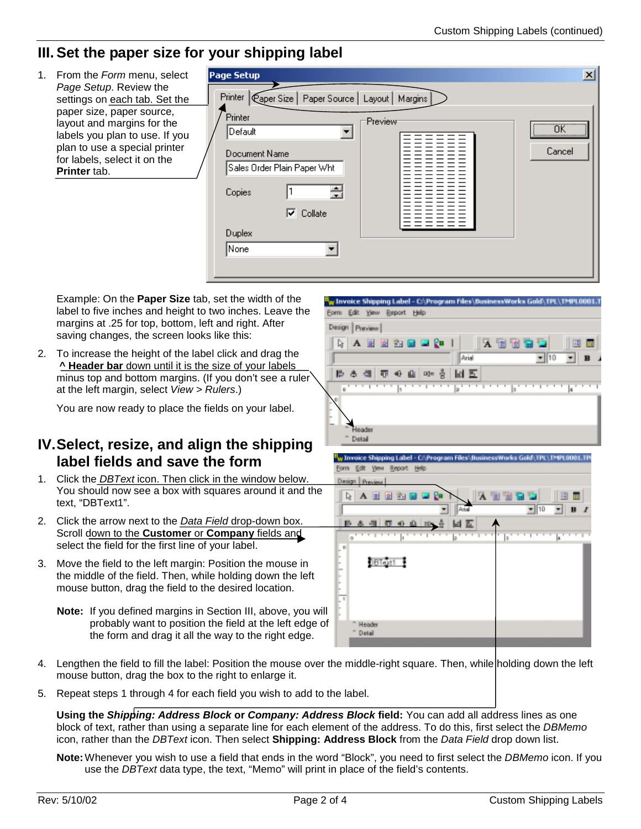## **III. Set the paper size for your shipping label**

1. From the *Form* menu, select Page Setup  $\vert x \vert$ *Page Setup*. Review the Printer | Caper Size | Paper Source | Layout | Margins settings on each tab. Set the paper size, paper source, Printer Preview layout and margins for the öκ Default  $\overline{\phantom{0}}$ labels you plan to use. If you |||||||||||||||||||| ||||||||||||||||||||||| plan to use a special printer Cancel Document Name for labels, select it on the Sales Order Plain Paper Wht **Printer** tab. 곡 I1 Copies  $\nabla$  Collate Duplex None  $\blacktriangledown$ 

Example: On the **Paper Size** tab, set the width of the label to five inches and height to two inches. Leave the margins at .25 for top, bottom, left and right. After saving changes, the screen looks like this:

2. To increase the height of the label click and drag the **^ Header bar** down until it is the size of your labels minus top and bottom margins. (If you don't see a ruler at the left margin, select *View > Rulers*.)

You are now ready to place the fields on your label.

## **IV. Select, resize, and align the shipping label fields and save the form**

- 1. Click the *DBText* icon. Then click in the window below. You should now see a box with squares around it and the text, "DBText1".
- 2. Click the arrow next to the *Data Field* drop-down box. Scroll down to the **Customer** or **Company** fields and select the field for the first line of your label.
- 3. Move the field to the left margin: Position the mouse in the middle of the field. Then, while holding down the left mouse button, drag the field to the desired location.
	- **Note:** If you defined margins in Section III, above, you will probably want to position the field at the left edge of the form and drag it all the way to the right edge.





- 4. Lengthen the field to fill the label: Position the mouse over the middle-right square. Then, while holding down the left mouse button, drag the box to the right to enlarge it.
- 5. Repeat steps 1 through 4 for each field you wish to add to the label.

**Using the** *Shipping: Address Block* **or** *Company: Address Block* **field:** You can add all address lines as one block of text, rather than using a separate line for each element of the address. To do this, first select the *DBMemo* icon, rather than the *DBText* icon. Then select **Shipping: Address Block** from the *Data Field* drop down list.

**Note:** Whenever you wish to use a field that ends in the word "Block", you need to first select the *DBMemo* icon. If you use the *DBText* data type, the text, "Memo" will print in place of the field's contents.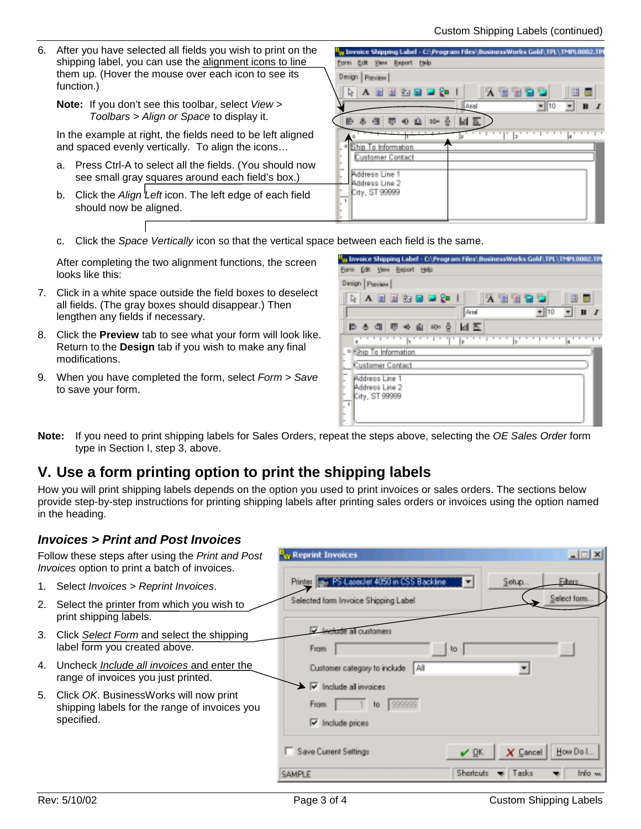- 6. After you have selected all fields you wish to print on the shipping label, you can use the alignment icons to line them up. (Hover the mouse over each icon to see its function.)
	- **Note:** If you don't see this toolbar, select *View > Toolbars > Align or Space* to display it.

In the example at right, the fields need to be left aligned and spaced evenly vertically. To align the icons…

- a. Press Ctrl-A to select all the fields. (You should now see small gray squares around each field's box.)
- b. Click the *Align Left* icon. The left edge of each field should now be aligned.



c. Click the *Space Vertically* icon so that the vertical space between each field is the same.

After completing the two alignment functions, the screen looks like this:

- 7. Click in a white space outside the field boxes to deselect all fields. (The gray boxes should disappear.) Then lengthen any fields if necessary.
- 8. Click the **Preview** tab to see what your form will look like. Return to the **Design** tab if you wish to make any final modifications.
- 9. When you have completed the form, select *Form > Save* to save your form.

| <sup>B</sup> w Invoice Shipping Label – Cr\Program Files\BusinessWorks Gold\TPL\TMPL0002.TPI |
|----------------------------------------------------------------------------------------------|
| Form Edit View Report Help                                                                   |
| Design   Preview                                                                             |
| 医血管白色<br>祠<br>m                                                                              |
| Ariol<br>$-110$<br>$\bf{B}$                                                                  |
| ゆき切める<br>$100$ $\frac{3}{2}$<br>同回                                                           |
| la<br>lз<br>a                                                                                |
| <sup>o</sup> Ship To Information                                                             |
| Customer Contact                                                                             |
| <b>Piddress Line 1</b><br>Address Line 2<br>City, ST 99999<br>F<br>u                         |

**Note:** If you need to print shipping labels for Sales Orders, repeat the steps above, selecting the *OE Sales Order* form type in Section I, step 3, above.

## **V. Use a form printing option to print the shipping labels**

How you will print shipping labels depends on the option you used to print invoices or sales orders. The sections below provide step-by-step instructions for printing shipping labels after printing sales orders or invoices using the option named in the heading.

#### *Invoices > Print and Post Invoices*

| Follow these steps after using the Print and Post<br>Invoices option to print a batch of invoices. |                                                                                                       | <sup>U</sup> w Reprint Invoices                                         | $\Box \Box x$                                                      |
|----------------------------------------------------------------------------------------------------|-------------------------------------------------------------------------------------------------------|-------------------------------------------------------------------------|--------------------------------------------------------------------|
| 1.                                                                                                 | Select Invoices > Reprint Invoices.                                                                   | Printer as PS-Lassilet 4050 in CSS Backline                             | <b>Filters</b><br>Setup<br>E                                       |
| 2.                                                                                                 | Select the printer from which you wish to<br>print shipping labels.                                   | Selected form Invoice Shipping Label                                    | Select form                                                        |
| 3.                                                                                                 | Click Select Form and select the shipping<br>label form you created above.                            | all customers<br>From                                                   | bo.<br>$\cdots$                                                    |
| 4.                                                                                                 | Uncheck <i>Include all invoices</i> and enter the<br>range of invoices you just printed.              | Customer category to include<br>II All<br>$\nabla$ Include all invoices |                                                                    |
| 5.                                                                                                 | Click OK. BusinessWorks will now print<br>shipping labels for the range of invoices you<br>specified. | From<br>999999<br>to<br>Iv Include prices                               |                                                                    |
|                                                                                                    |                                                                                                       | Save Current Settings<br><b>CAMPLE</b>                                  | How Do I.<br><b>DK</b><br>$X$ Cancel<br>Shortcuts<br>Tasks<br>Info |